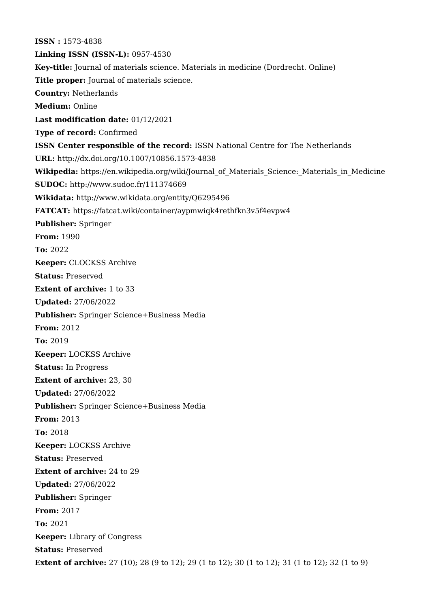**ISSN :** 1573-4838 **Linking ISSN (ISSN-L):** 0957-4530 **Key-title:** Journal of materials science. Materials in medicine (Dordrecht. Online) **Title proper:** Journal of materials science. **Country:** Netherlands **Medium:** Online **Last modification date:** 01/12/2021 **Type of record:** Confirmed **ISSN Center responsible of the record:** ISSN National Centre for The Netherlands **URL:** <http://dx.doi.org/10.1007/10856.1573-4838> Wikipedia: https://en.wikipedia.org/wiki/Journal of Materials Science: Materials in Medicine **SUDOC:** <http://www.sudoc.fr/111374669> **Wikidata:** <http://www.wikidata.org/entity/Q6295496> **FATCAT:** <https://fatcat.wiki/container/aypmwiqk4rethfkn3v5f4evpw4> **Publisher:** Springer **From:** 1990 **To:** 2022 **Keeper:** CLOCKSS Archive **Status:** Preserved **Extent of archive:** 1 to 33 **Updated:** 27/06/2022 **Publisher:** Springer Science+Business Media **From:** 2012 **To:** 2019 **Keeper:** LOCKSS Archive **Status:** In Progress **Extent of archive:** 23, 30 **Updated:** 27/06/2022 **Publisher:** Springer Science+Business Media **From:** 2013 **To:** 2018 **Keeper:** LOCKSS Archive **Status:** Preserved **Extent of archive:** 24 to 29 **Updated:** 27/06/2022 **Publisher:** Springer **From:** 2017 **To:** 2021 **Keeper:** Library of Congress **Status:** Preserved **Extent of archive:** 27 (10); 28 (9 to 12); 29 (1 to 12); 30 (1 to 12); 31 (1 to 12); 32 (1 to 9)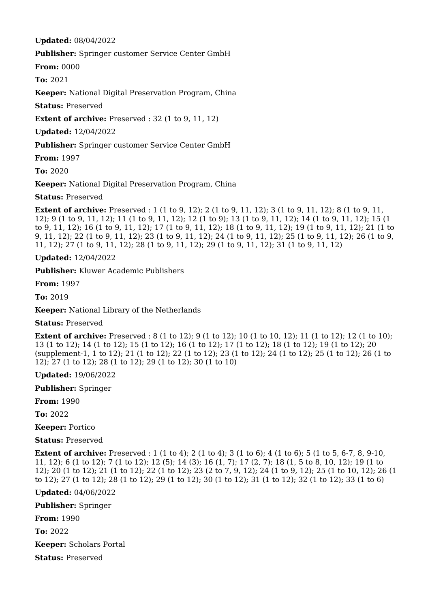**Updated:** 08/04/2022

**Publisher:** Springer customer Service Center GmbH

**From:** 0000

**To:** 2021

**Keeper:** National Digital Preservation Program, China

**Status:** Preserved

**Extent of archive:** Preserved : 32 (1 to 9, 11, 12)

**Updated:** 12/04/2022

**Publisher:** Springer customer Service Center GmbH

**From:** 1997

**To:** 2020

**Keeper:** National Digital Preservation Program, China

**Status:** Preserved

**Extent of archive:** Preserved : 1 (1 to 9, 12); 2 (1 to 9, 11, 12); 3 (1 to 9, 11, 12); 8 (1 to 9, 11, 12); 9 (1 to 9, 11, 12); 11 (1 to 9, 11, 12); 12 (1 to 9); 13 (1 to 9, 11, 12); 14 (1 to 9, 11, 12); 15 (1 to 9, 11, 12); 16 (1 to 9, 11, 12); 17 (1 to 9, 11, 12); 18 (1 to 9, 11, 12); 19 (1 to 9, 11, 12); 21 (1 to 9, 11, 12); 22 (1 to 9, 11, 12); 23 (1 to 9, 11, 12); 24 (1 to 9, 11, 12); 25 (1 to 9, 11, 12); 26 (1 to 9, 11, 12); 27 (1 to 9, 11, 12); 28 (1 to 9, 11, 12); 29 (1 to 9, 11, 12); 31 (1 to 9, 11, 12)

**Updated:** 12/04/2022

**Publisher:** Kluwer Academic Publishers

**From:** 1997

**To:** 2019

**Keeper:** National Library of the Netherlands

**Status:** Preserved

**Extent of archive:** Preserved : 8 (1 to 12); 9 (1 to 12); 10 (1 to 10, 12); 11 (1 to 12); 12 (1 to 10); 13 (1 to 12); 14 (1 to 12); 15 (1 to 12); 16 (1 to 12); 17 (1 to 12); 18 (1 to 12); 19 (1 to 12); 20 (supplement-1, 1 to 12); 21 (1 to 12); 22 (1 to 12); 23 (1 to 12); 24 (1 to 12); 25 (1 to 12); 26 (1 to 12); 27 (1 to 12); 28 (1 to 12); 29 (1 to 12); 30 (1 to 10)

**Updated:** 19/06/2022

**Publisher:** Springer

**From:** 1990

**To:** 2022

**Keeper:** Portico

**Status:** Preserved

**Extent of archive:** Preserved : 1 (1 to 4); 2 (1 to 4); 3 (1 to 6); 4 (1 to 6); 5 (1 to 5, 6-7, 8, 9-10, 11, 12); 6 (1 to 12); 7 (1 to 12); 12 (5); 14 (3); 16 (1, 7); 17 (2, 7); 18 (1, 5 to 8, 10, 12); 19 (1 to 12); 20 (1 to 12); 21 (1 to 12); 22 (1 to 12); 23 (2 to 7, 9, 12); 24 (1 to 9, 12); 25 (1 to 10, 12); 26 (1 to 12); 27 (1 to 12); 28 (1 to 12); 29 (1 to 12); 30 (1 to 12); 31 (1 to 12); 32 (1 to 12); 33 (1 to 6)

**Updated:** 04/06/2022

**Publisher:** Springer

**From:** 1990

**To:** 2022

**Keeper:** Scholars Portal

**Status:** Preserved